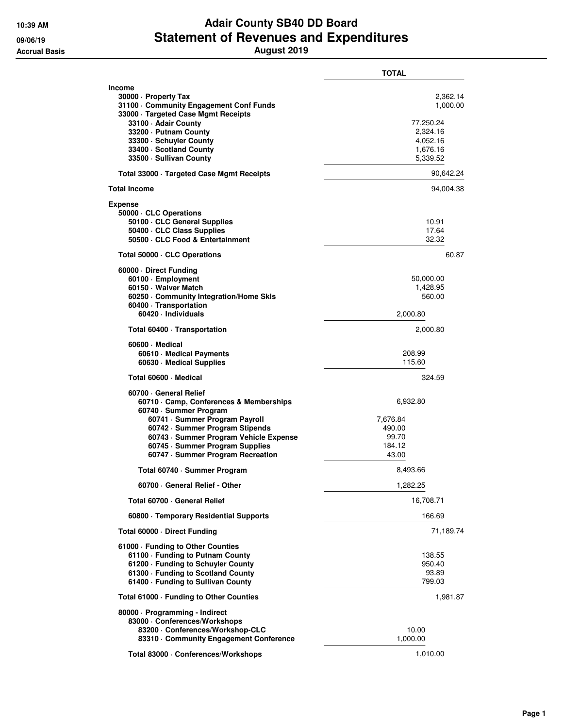## **10:39 AM Adair County SB40 DD Board 09/06/19 Statement of Revenues and Expenditures Accrual Basis August 2019**

|                                                                                                                                                                                                                                                                                | TOTAL                                                                             |  |
|--------------------------------------------------------------------------------------------------------------------------------------------------------------------------------------------------------------------------------------------------------------------------------|-----------------------------------------------------------------------------------|--|
| <b>Income</b><br>30000 · Property Tax<br>31100 Community Engagement Conf Funds<br>33000 · Targeted Case Mgmt Receipts<br>33100 - Adair County<br>33200 · Putnam County<br>33300 · Schuyler County<br>33400 · Scotland County<br>33500 · Sullivan County                        | 2,362.14<br>1,000.00<br>77,250.24<br>2,324.16<br>4,052.16<br>1,676.16<br>5,339.52 |  |
| Total 33000 · Targeted Case Mgmt Receipts                                                                                                                                                                                                                                      | 90,642.24                                                                         |  |
| <b>Total Income</b>                                                                                                                                                                                                                                                            | 94,004.38                                                                         |  |
| Expense<br>50000 · CLC Operations<br>50100 · CLC General Supplies<br>50400 · CLC Class Supplies<br>50500 · CLC Food & Entertainment                                                                                                                                            | 10.91<br>17.64<br>32.32                                                           |  |
| Total 50000 · CLC Operations                                                                                                                                                                                                                                                   | 60.87                                                                             |  |
| 60000 Direct Funding<br>60100 · Employment<br>60150 · Waiver Match<br>60250 Community Integration/Home Skls<br>60400 · Transportation<br>60420 · Individuals                                                                                                                   | 50,000.00<br>1,428.95<br>560.00<br>2,000.80                                       |  |
| Total 60400 · Transportation                                                                                                                                                                                                                                                   | 2,000.80                                                                          |  |
| 60600 Medical<br>60610 · Medical Payments<br>60630 · Medical Supplies                                                                                                                                                                                                          | 208.99<br>115.60                                                                  |  |
| Total 60600 · Medical                                                                                                                                                                                                                                                          | 324.59                                                                            |  |
| 60700 General Relief<br>60710 Camp, Conferences & Memberships<br>60740 · Summer Program<br>60741 · Summer Program Payroll<br>60742 · Summer Program Stipends<br>60743 · Summer Program Vehicle Expense<br>60745 · Summer Program Supplies<br>60747 · Summer Program Recreation | 6,932.80<br>7,676.84<br>490.00<br>99.70<br>184.12<br>43.00                        |  |
| Total 60740 · Summer Program                                                                                                                                                                                                                                                   | 8,493.66                                                                          |  |
| 60700 General Relief - Other                                                                                                                                                                                                                                                   | 1,282.25                                                                          |  |
| Total 60700 · General Relief                                                                                                                                                                                                                                                   | 16,708.71                                                                         |  |
| 60800 · Temporary Residential Supports                                                                                                                                                                                                                                         | 166.69                                                                            |  |
| Total 60000 · Direct Funding                                                                                                                                                                                                                                                   | 71,189.74                                                                         |  |
| 61000 · Funding to Other Counties<br>61100 · Funding to Putnam County<br>61200 · Funding to Schuyler County<br>61300 · Funding to Scotland County<br>61400 - Funding to Sullivan County                                                                                        | 138.55<br>950.40<br>93.89<br>799.03                                               |  |
| Total 61000 · Funding to Other Counties                                                                                                                                                                                                                                        | 1,981.87                                                                          |  |
| 80000 · Programming - Indirect<br>83000 · Conferences/Workshops<br>83200 · Conferences/Workshop-CLC<br>83310 Community Engagement Conference                                                                                                                                   | 10.00<br>1,000.00                                                                 |  |
| Total 83000 · Conferences/Workshops                                                                                                                                                                                                                                            | 1,010.00                                                                          |  |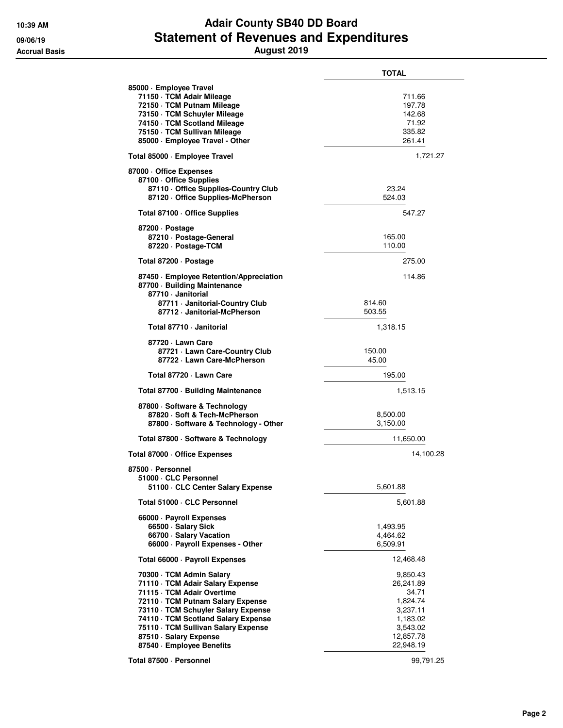## **10:39 AM Adair County SB40 DD Board 09/06/19 Statement of Revenues and Expenditures Accrual Basis August 2019**

|                                                                                                                                                                                                                                                                                                             | TOTAL                                                                                                    |
|-------------------------------------------------------------------------------------------------------------------------------------------------------------------------------------------------------------------------------------------------------------------------------------------------------------|----------------------------------------------------------------------------------------------------------|
| 85000 · Employee Travel<br>71150 · TCM Adair Mileage<br>72150 · TCM Putnam Mileage<br>73150 · TCM Schuyler Mileage<br>74150 · TCM Scotland Mileage<br>75150 · TCM Sullivan Mileage<br>85000 · Employee Travel - Other                                                                                       | 711.66<br>197.78<br>142.68<br>71.92<br>335.82<br>261.41                                                  |
| Total 85000 · Employee Travel                                                                                                                                                                                                                                                                               | 1,721.27                                                                                                 |
| 87000 Office Expenses<br>87100 · Office Supplies<br>87110 Office Supplies-Country Club<br>87120 Office Supplies-McPherson                                                                                                                                                                                   | 23.24<br>524.03                                                                                          |
| Total 87100 · Office Supplies                                                                                                                                                                                                                                                                               | 547.27                                                                                                   |
| 87200 Dostage<br>87210 · Postage-General<br>87220 · Postage-TCM                                                                                                                                                                                                                                             | 165.00<br>110.00                                                                                         |
| Total 87200 · Postage                                                                                                                                                                                                                                                                                       | 275.00                                                                                                   |
| 87450 · Employee Retention/Appreciation<br>87700 · Building Maintenance<br>87710 · Janitorial                                                                                                                                                                                                               | 114.86                                                                                                   |
| 87711 · Janitorial-Country Club<br>87712 · Janitorial-McPherson                                                                                                                                                                                                                                             | 814.60<br>503.55                                                                                         |
| Total 87710 - Janitorial                                                                                                                                                                                                                                                                                    | 1,318.15                                                                                                 |
| 87720 · Lawn Care<br>87721 - Lawn Care-Country Club<br>87722 - Lawn Care-McPherson                                                                                                                                                                                                                          | 150.00<br>45.00                                                                                          |
| Total 87720 - Lawn Care                                                                                                                                                                                                                                                                                     | 195.00                                                                                                   |
| Total 87700 · Building Maintenance                                                                                                                                                                                                                                                                          | 1,513.15                                                                                                 |
| 87800 · Software & Technology<br>87820 · Soft & Tech-McPherson<br>87800 · Software & Technology - Other                                                                                                                                                                                                     | 8,500.00<br>3,150.00                                                                                     |
| Total 87800 · Software & Technology                                                                                                                                                                                                                                                                         | 11,650.00                                                                                                |
| Total 87000 · Office Expenses                                                                                                                                                                                                                                                                               | 14,100.28                                                                                                |
| 87500 · Personnel<br>51000 · CLC Personnel<br>51100 · CLC Center Salary Expense                                                                                                                                                                                                                             | 5,601.88                                                                                                 |
| Total 51000 · CLC Personnel                                                                                                                                                                                                                                                                                 | 5,601.88                                                                                                 |
| 66000 · Payroll Expenses<br>66500 · Salary Sick<br>66700 · Salary Vacation<br>66000 · Payroll Expenses - Other                                                                                                                                                                                              | 1,493.95<br>4,464.62<br>6,509.91                                                                         |
| Total 66000 · Payroll Expenses                                                                                                                                                                                                                                                                              | 12,468.48                                                                                                |
| 70300 · TCM Admin Salary<br>71110 · TCM Adair Salary Expense<br>71115 · TCM Adair Overtime<br>72110 · TCM Putnam Salary Expense<br>73110 · TCM Schuyler Salary Expense<br>74110 · TCM Scotland Salary Expense<br>75110 · TCM Sullivan Salary Expense<br>87510 · Salary Expense<br>87540 · Employee Benefits | 9,850.43<br>26,241.89<br>34.71<br>1,824.74<br>3,237.11<br>1,183.02<br>3,543.02<br>12,857.78<br>22,948.19 |
|                                                                                                                                                                                                                                                                                                             |                                                                                                          |

**Total 87500 · Personnel 99,791.25**